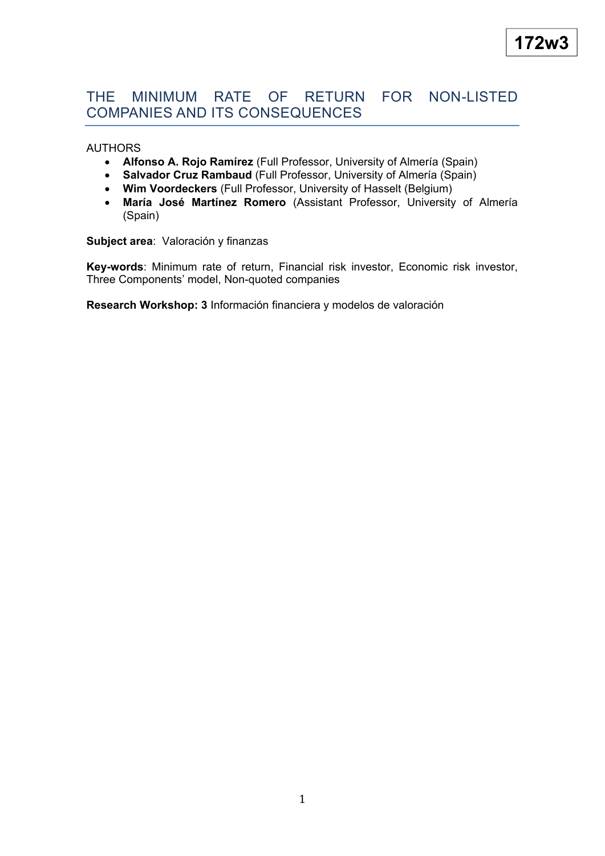# THE MINIMUM RATE OF RETURN FOR NON-LISTED COMPANIES AND ITS CONSEQUENCES

## AUTHORS

- **Alfonso A. Rojo Ramírez** (Full Professor, University of Almería (Spain)
- **Salvador Cruz Rambaud** (Full Professor, University of Almería (Spain)
- **Wim Voordeckers** (Full Professor, University of Hasselt (Belgium)
- **María José Martínez Romero** (Assistant Professor, University of Almería (Spain)

## **Subject area**: Valoración y finanzas

**Key-words**: Minimum rate of return, Financial risk investor, Economic risk investor, Three Components' model, Non-quoted companies

**Research Workshop: 3** Información financiera y modelos de valoración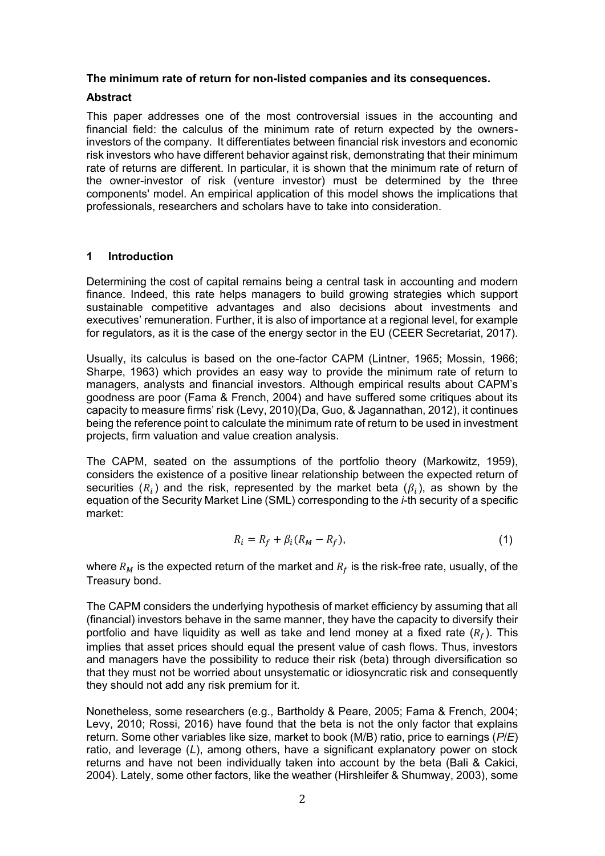## **The minimum rate of return for non-listed companies and its consequences.**

## **Abstract**

This paper addresses one of the most controversial issues in the accounting and financial field: the calculus of the minimum rate of return expected by the ownersinvestors of the company. It differentiates between financial risk investors and economic risk investors who have different behavior against risk, demonstrating that their minimum rate of returns are different. In particular, it is shown that the minimum rate of return of the owner-investor of risk (venture investor) must be determined by the three components' model. An empirical application of this model shows the implications that professionals, researchers and scholars have to take into consideration.

## **1 Introduction**

Determining the cost of capital remains being a central task in accounting and modern finance. Indeed, this rate helps managers to build growing strategies which support sustainable competitive advantages and also decisions about investments and executives' remuneration. Further, it is also of importance at a regional level, for example for regulators, as it is the case of the energy sector in the EU (CEER Secretariat, 2017).

Usually, its calculus is based on the one-factor CAPM (Lintner, 1965; Mossin, 1966; Sharpe, 1963) which provides an easy way to provide the minimum rate of return to managers, analysts and financial investors. Although empirical results about CAPM's goodness are poor (Fama & French, 2004) and have suffered some critiques about its capacity to measure firms' risk (Levy, 2010)(Da, Guo, & Jagannathan, 2012), it continues being the reference point to calculate the minimum rate of return to be used in investment projects, firm valuation and value creation analysis.

The CAPM, seated on the assumptions of the portfolio theory (Markowitz, 1959), considers the existence of a positive linear relationship between the expected return of securities  $(R_i)$  and the risk, represented by the market beta  $(\beta_i)$ , as shown by the equation of the Security Market Line (SML) corresponding to the *i*-th security of a specific market:

$$
R_i = R_f + \beta_i (R_M - R_f), \qquad (1)
$$

where  $R_M$  is the expected return of the market and  $R_f$  is the risk-free rate, usually, of the Treasury bond.

The CAPM considers the underlying hypothesis of market efficiency by assuming that all (financial) investors behave in the same manner, they have the capacity to diversify their portfolio and have liquidity as well as take and lend money at a fixed rate  $(R_f)$ . This implies that asset prices should equal the present value of cash flows. Thus, investors and managers have the possibility to reduce their risk (beta) through diversification so that they must not be worried about unsystematic or idiosyncratic risk and consequently they should not add any risk premium for it.

Nonetheless, some researchers (e.g., Bartholdy & Peare, 2005; Fama & French, 2004; Levy, 2010; Rossi, 2016) have found that the beta is not the only factor that explains return. Some other variables like size, market to book (M/B) ratio, price to earnings (*P*/*E*) ratio, and leverage (*L*), among others, have a significant explanatory power on stock returns and have not been individually taken into account by the beta (Bali & Cakici, 2004). Lately, some other factors, like the weather (Hirshleifer & Shumway, 2003), some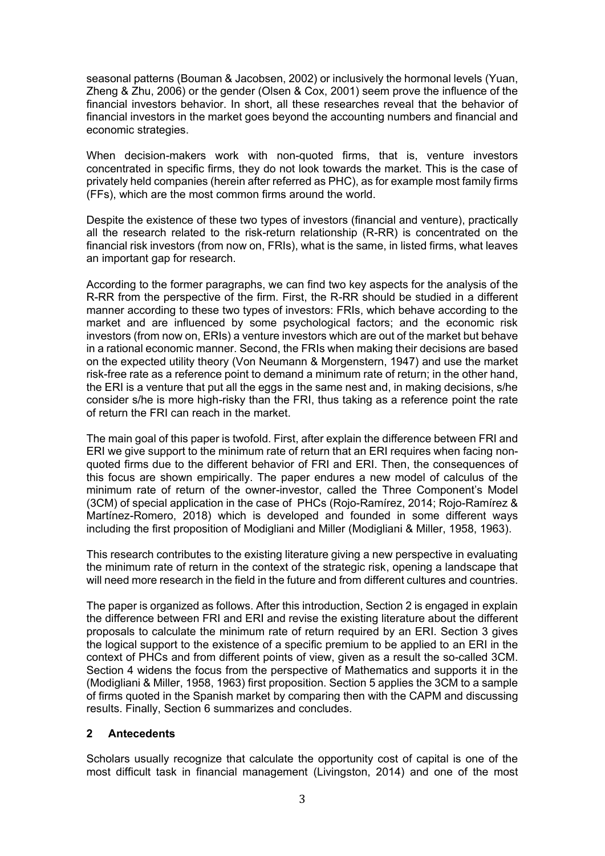seasonal patterns (Bouman & Jacobsen, 2002) or inclusively the hormonal levels (Yuan, Zheng & Zhu, 2006) or the gender (Olsen & Cox, 2001) seem prove the influence of the financial investors behavior. In short, all these researches reveal that the behavior of financial investors in the market goes beyond the accounting numbers and financial and economic strategies.

When decision-makers work with non-quoted firms, that is, venture investors concentrated in specific firms, they do not look towards the market. This is the case of privately held companies (herein after referred as PHC), as for example most family firms (FFs), which are the most common firms around the world.

Despite the existence of these two types of investors (financial and venture), practically all the research related to the risk-return relationship (R-RR) is concentrated on the financial risk investors (from now on, FRIs), what is the same, in listed firms, what leaves an important gap for research.

According to the former paragraphs, we can find two key aspects for the analysis of the R-RR from the perspective of the firm. First, the R-RR should be studied in a different manner according to these two types of investors: FRIs, which behave according to the market and are influenced by some psychological factors; and the economic risk investors (from now on, ERIs) a venture investors which are out of the market but behave in a rational economic manner. Second, the FRIs when making their decisions are based on the expected utility theory (Von Neumann & Morgenstern, 1947) and use the market risk-free rate as a reference point to demand a minimum rate of return; in the other hand, the ERI is a venture that put all the eggs in the same nest and, in making decisions, s/he consider s/he is more high-risky than the FRI, thus taking as a reference point the rate of return the FRI can reach in the market.

The main goal of this paper is twofold. First, after explain the difference between FRI and ERI we give support to the minimum rate of return that an ERI requires when facing nonquoted firms due to the different behavior of FRI and ERI. Then, the consequences of this focus are shown empirically. The paper endures a new model of calculus of the minimum rate of return of the owner-investor, called the Three Component's Model (3CM) of special application in the case of PHCs (Rojo-Ramírez, 2014; Rojo-Ramírez & Martínez-Romero, 2018) which is developed and founded in some different ways including the first proposition of Modigliani and Miller (Modigliani & Miller, 1958, 1963).

This research contributes to the existing literature giving a new perspective in evaluating the minimum rate of return in the context of the strategic risk, opening a landscape that will need more research in the field in the future and from different cultures and countries.

The paper is organized as follows. After this introduction, Section 2 is engaged in explain the difference between FRI and ERI and revise the existing literature about the different proposals to calculate the minimum rate of return required by an ERI. Section 3 gives the logical support to the existence of a specific premium to be applied to an ERI in the context of PHCs and from different points of view, given as a result the so-called 3CM. Section 4 widens the focus from the perspective of Mathematics and supports it in the (Modigliani & Miller, 1958, 1963) first proposition. Section 5 applies the 3CM to a sample of firms quoted in the Spanish market by comparing then with the CAPM and discussing results. Finally, Section 6 summarizes and concludes.

# **2 Antecedents**

Scholars usually recognize that calculate the opportunity cost of capital is one of the most difficult task in financial management (Livingston, 2014) and one of the most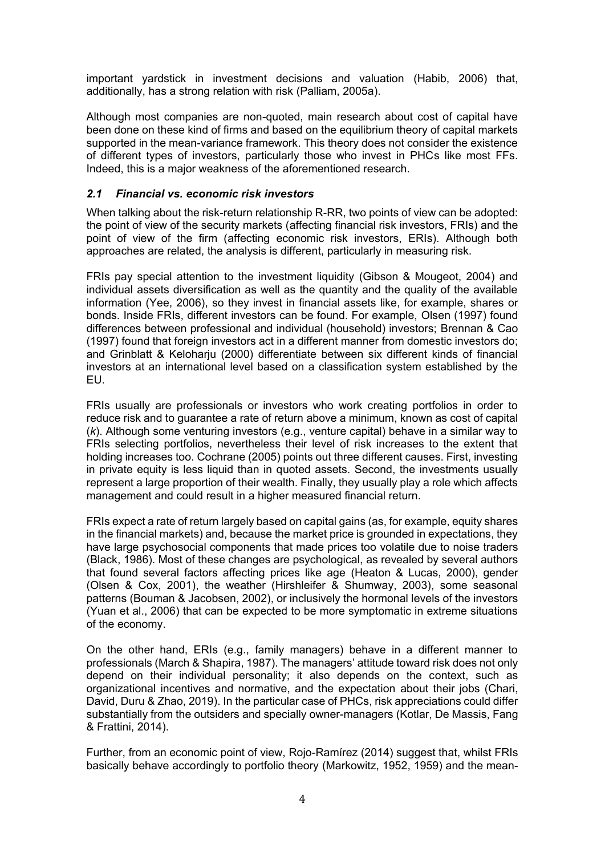important yardstick in investment decisions and valuation (Habib, 2006) that, additionally, has a strong relation with risk (Palliam, 2005a).

Although most companies are non-quoted, main research about cost of capital have been done on these kind of firms and based on the equilibrium theory of capital markets supported in the mean-variance framework. This theory does not consider the existence of different types of investors, particularly those who invest in PHCs like most FFs. Indeed, this is a major weakness of the aforementioned research.

# *2.1 Financial vs. economic risk investors*

When talking about the risk-return relationship R-RR, two points of view can be adopted: the point of view of the security markets (affecting financial risk investors, FRIs) and the point of view of the firm (affecting economic risk investors, ERIs). Although both approaches are related, the analysis is different, particularly in measuring risk.

FRIs pay special attention to the investment liquidity (Gibson & Mougeot, 2004) and individual assets diversification as well as the quantity and the quality of the available information (Yee, 2006), so they invest in financial assets like, for example, shares or bonds. Inside FRIs, different investors can be found. For example, Olsen (1997) found differences between professional and individual (household) investors; Brennan & Cao (1997) found that foreign investors act in a different manner from domestic investors do; and Grinblatt & Keloharju (2000) differentiate between six different kinds of financial investors at an international level based on a classification system established by the EU.

FRIs usually are professionals or investors who work creating portfolios in order to reduce risk and to guarantee a rate of return above a minimum, known as cost of capital (*k*). Although some venturing investors (e.g., venture capital) behave in a similar way to FRIs selecting portfolios, nevertheless their level of risk increases to the extent that holding increases too. Cochrane (2005) points out three different causes. First, investing in private equity is less liquid than in quoted assets. Second, the investments usually represent a large proportion of their wealth. Finally, they usually play a role which affects management and could result in a higher measured financial return.

FRIs expect a rate of return largely based on capital gains (as, for example, equity shares in the financial markets) and, because the market price is grounded in expectations, they have large psychosocial components that made prices too volatile due to noise traders (Black, 1986). Most of these changes are psychological, as revealed by several authors that found several factors affecting prices like age (Heaton & Lucas, 2000), gender (Olsen & Cox, 2001), the weather (Hirshleifer & Shumway, 2003), some seasonal patterns (Bouman & Jacobsen, 2002), or inclusively the hormonal levels of the investors (Yuan et al., 2006) that can be expected to be more symptomatic in extreme situations of the economy.

On the other hand, ERIs (e.g., family managers) behave in a different manner to professionals (March & Shapira, 1987). The managers' attitude toward risk does not only depend on their individual personality; it also depends on the context, such as organizational incentives and normative, and the expectation about their jobs (Chari, David, Duru & Zhao, 2019). In the particular case of PHCs, risk appreciations could differ substantially from the outsiders and specially owner-managers (Kotlar, De Massis, Fang & Frattini, 2014).

Further, from an economic point of view, Rojo-Ramírez (2014) suggest that, whilst FRIs basically behave accordingly to portfolio theory (Markowitz, 1952, 1959) and the mean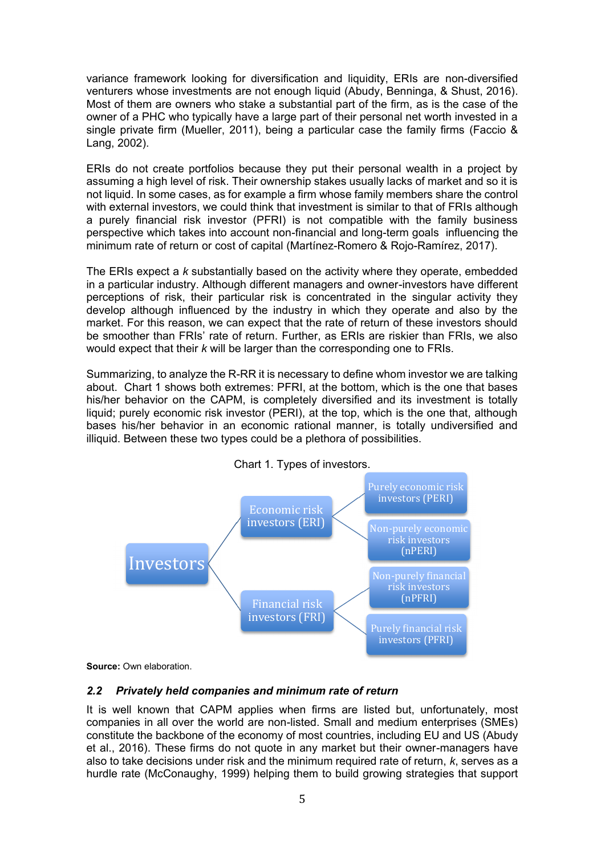variance framework looking for diversification and liquidity, ERIs are non-diversified venturers whose investments are not enough liquid (Abudy, Benninga, & Shust, 2016). Most of them are owners who stake a substantial part of the firm, as is the case of the owner of a PHC who typically have a large part of their personal net worth invested in a single private firm (Mueller, 2011), being a particular case the family firms (Faccio & Lang, 2002).

ERIs do not create portfolios because they put their personal wealth in a project by assuming a high level of risk. Their ownership stakes usually lacks of market and so it is not liquid. In some cases, as for example a firm whose family members share the control with external investors, we could think that investment is similar to that of FRIs although a purely financial risk investor (PFRI) is not compatible with the family business perspective which takes into account non-financial and long-term goals influencing the minimum rate of return or cost of capital (Martínez-Romero & Rojo-Ramírez, 2017).

The ERIs expect a *k* substantially based on the activity where they operate, embedded in a particular industry. Although different managers and owner-investors have different perceptions of risk, their particular risk is concentrated in the singular activity they develop although influenced by the industry in which they operate and also by the market. For this reason, we can expect that the rate of return of these investors should be smoother than FRIs' rate of return. Further, as ERIs are riskier than FRIs, we also would expect that their *k* will be larger than the corresponding one to FRIs.

Summarizing, to analyze the R-RR it is necessary to define whom investor we are talking about. Chart 1 shows both extremes: PFRI, at the bottom, which is the one that bases his/her behavior on the CAPM, is completely diversified and its investment is totally liquid; purely economic risk investor (PERI), at the top, which is the one that, although bases his/her behavior in an economic rational manner, is totally undiversified and illiquid. Between these two types could be a plethora of possibilities.





**Source:** Own elaboration.

# *2.2 Privately held companies and minimum rate of return*

It is well known that CAPM applies when firms are listed but, unfortunately, most companies in all over the world are non-listed. Small and medium enterprises (SMEs) constitute the backbone of the economy of most countries, including EU and US (Abudy et al., 2016). These firms do not quote in any market but their owner-managers have also to take decisions under risk and the minimum required rate of return, *k*, serves as a hurdle rate (McConaughy, 1999) helping them to build growing strategies that support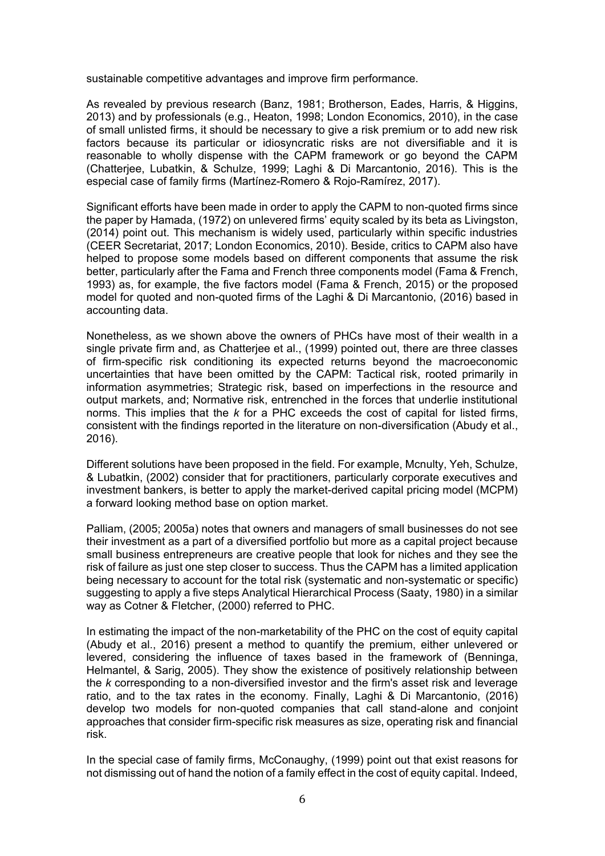sustainable competitive advantages and improve firm performance.

As revealed by previous research (Banz, 1981; Brotherson, Eades, Harris, & Higgins, 2013) and by professionals (e.g., Heaton, 1998; London Economics, 2010), in the case of small unlisted firms, it should be necessary to give a risk premium or to add new risk factors because its particular or idiosyncratic risks are not diversifiable and it is reasonable to wholly dispense with the CAPM framework or go beyond the CAPM (Chatterjee, Lubatkin, & Schulze, 1999; Laghi & Di Marcantonio, 2016). This is the especial case of family firms (Martínez-Romero & Rojo-Ramírez, 2017).

Significant efforts have been made in order to apply the CAPM to non-quoted firms since the paper by Hamada, (1972) on unlevered firms' equity scaled by its beta as Livingston, (2014) point out. This mechanism is widely used, particularly within specific industries (CEER Secretariat, 2017; London Economics, 2010). Beside, critics to CAPM also have helped to propose some models based on different components that assume the risk better, particularly after the Fama and French three components model (Fama & French, 1993) as, for example, the five factors model (Fama & French, 2015) or the proposed model for quoted and non-quoted firms of the Laghi & Di Marcantonio, (2016) based in accounting data.

Nonetheless, as we shown above the owners of PHCs have most of their wealth in a single private firm and, as Chatterjee et al., (1999) pointed out, there are three classes of firm-specific risk conditioning its expected returns beyond the macroeconomic uncertainties that have been omitted by the CAPM: Tactical risk, rooted primarily in information asymmetries; Strategic risk, based on imperfections in the resource and output markets, and; Normative risk, entrenched in the forces that underlie institutional norms. This implies that the *k* for a PHC exceeds the cost of capital for listed firms, consistent with the findings reported in the literature on non-diversification (Abudy et al., 2016).

Different solutions have been proposed in the field. For example, Mcnulty, Yeh, Schulze, & Lubatkin, (2002) consider that for practitioners, particularly corporate executives and investment bankers, is better to apply the market-derived capital pricing model (MCPM) a forward looking method base on option market.

Palliam, (2005; 2005a) notes that owners and managers of small businesses do not see their investment as a part of a diversified portfolio but more as a capital project because small business entrepreneurs are creative people that look for niches and they see the risk of failure as just one step closer to success. Thus the CAPM has a limited application being necessary to account for the total risk (systematic and non-systematic or specific) suggesting to apply a five steps Analytical Hierarchical Process (Saaty, 1980) in a similar way as Cotner & Fletcher, (2000) referred to PHC.

In estimating the impact of the non-marketability of the PHC on the cost of equity capital (Abudy et al., 2016) present a method to quantify the premium, either unlevered or levered, considering the influence of taxes based in the framework of (Benninga, Helmantel, & Sarig, 2005). They show the existence of positively relationship between the *k* corresponding to a non-diversified investor and the firm's asset risk and leverage ratio, and to the tax rates in the economy. Finally, Laghi & Di Marcantonio, (2016) develop two models for non-quoted companies that call stand-alone and conjoint approaches that consider firm-specific risk measures as size, operating risk and financial risk.

In the special case of family firms, McConaughy, (1999) point out that exist reasons for not dismissing out of hand the notion of a family effect in the cost of equity capital. Indeed,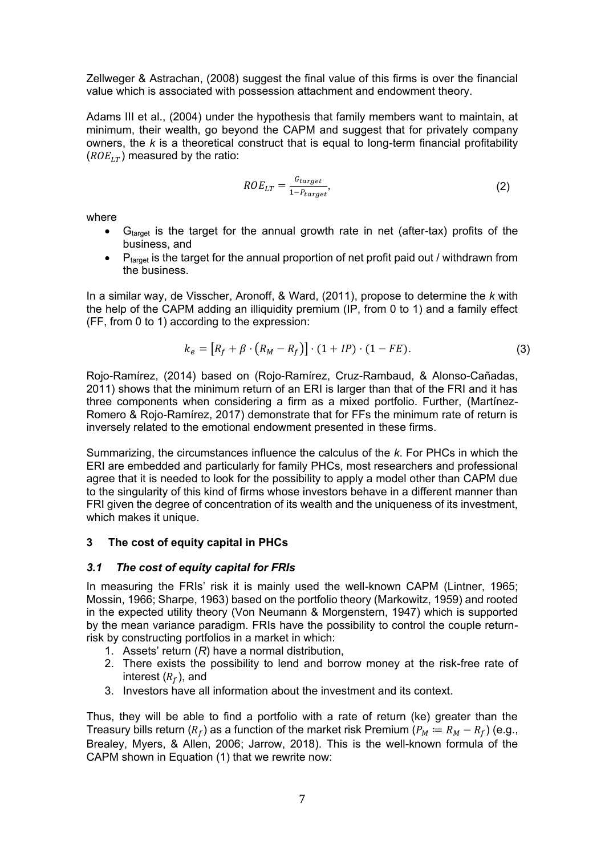Zellweger & Astrachan, (2008) suggest the final value of this firms is over the financial value which is associated with possession attachment and endowment theory.

Adams III et al., (2004) under the hypothesis that family members want to maintain, at minimum, their wealth, go beyond the CAPM and suggest that for privately company owners, the *k* is a theoretical construct that is equal to long-term financial profitability  $(ROE_{LT})$  measured by the ratio:

$$
ROE_{LT} = \frac{G_{target}}{1 - P_{target}},\tag{2}
$$

where

- G<sub>target</sub> is the target for the annual growth rate in net (after-tax) profits of the business, and
- $\bullet$  P<sub>target</sub> is the target for the annual proportion of net profit paid out / withdrawn from the business.

In a similar way, de Visscher, Aronoff, & Ward, (2011), propose to determine the *k* with the help of the CAPM adding an illiquidity premium (IP, from 0 to 1) and a family effect (FF, from 0 to 1) according to the expression:

$$
k_e = [R_f + \beta \cdot (R_M - R_f)] \cdot (1 + IP) \cdot (1 - FE). \tag{3}
$$

Rojo-Ramírez, (2014) based on (Rojo-Ramírez, Cruz-Rambaud, & Alonso-Cañadas, 2011) shows that the minimum return of an ERI is larger than that of the FRI and it has three components when considering a firm as a mixed portfolio. Further, (Martínez-Romero & Rojo-Ramírez, 2017) demonstrate that for FFs the minimum rate of return is inversely related to the emotional endowment presented in these firms.

Summarizing, the circumstances influence the calculus of the *k*. For PHCs in which the ERI are embedded and particularly for family PHCs, most researchers and professional agree that it is needed to look for the possibility to apply a model other than CAPM due to the singularity of this kind of firms whose investors behave in a different manner than FRI given the degree of concentration of its wealth and the uniqueness of its investment, which makes it unique.

# **3 The cost of equity capital in PHCs**

#### *3.1 The cost of equity capital for FRIs*

In measuring the FRIs' risk it is mainly used the well-known CAPM (Lintner, 1965; Mossin, 1966; Sharpe, 1963) based on the portfolio theory (Markowitz, 1959) and rooted in the expected utility theory (Von Neumann & Morgenstern, 1947) which is supported by the mean variance paradigm. FRIs have the possibility to control the couple returnrisk by constructing portfolios in a market in which:

- 1. Assets' return (*R*) have a normal distribution,
- 2. There exists the possibility to lend and borrow money at the risk-free rate of interest  $(R_f)$ , and
- 3. Investors have all information about the investment and its context.

Thus, they will be able to find a portfolio with a rate of return (ke) greater than the Treasury bills return ( $R_f$ ) as a function of the market risk Premium ( $P_M := R_M - R_f$ ) (e.g., Brealey, Myers, & Allen, 2006; Jarrow, 2018). This is the well-known formula of the CAPM shown in Equation (1) that we rewrite now: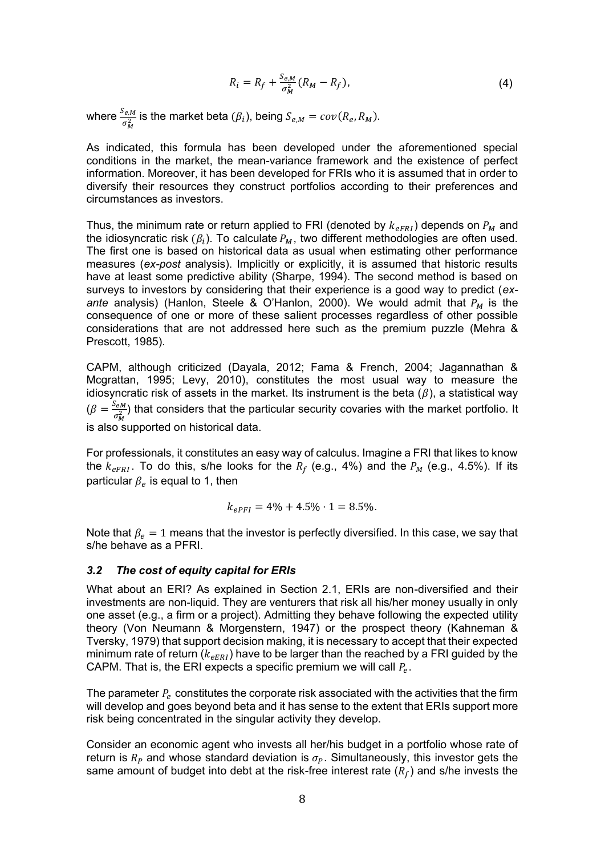$$
R_i = R_f + \frac{S_{e,M}}{\sigma_M^2} (R_M - R_f), \qquad (4)
$$

where  $\frac{S_{e,M}}{\sigma_M^2}$  is the market beta  $(\beta_i)$ , being  $S_{e,M} = cov(R_e, R_M)$ .

As indicated, this formula has been developed under the aforementioned special conditions in the market, the mean-variance framework and the existence of perfect information. Moreover, it has been developed for FRIs who it is assumed that in order to diversify their resources they construct portfolios according to their preferences and circumstances as investors.

Thus, the minimum rate or return applied to FRI (denoted by  $k_{\text{eFRI}}$ ) depends on  $P_M$  and the idiosyncratic risk ( $\beta_i$ ). To calculate  $P_M$ , two different methodologies are often used. The first one is based on historical data as usual when estimating other performance measures (*ex-post* analysis). Implicitly or explicitly, it is assumed that historic results have at least some predictive ability (Sharpe, 1994). The second method is based on surveys to investors by considering that their experience is a good way to predict (*exante* analysis) (Hanlon, Steele & O'Hanlon, 2000). We would admit that  $P_M$  is the consequence of one or more of these salient processes regardless of other possible considerations that are not addressed here such as the premium puzzle (Mehra & Prescott, 1985).

CAPM, although criticized (Dayala, 2012; Fama & French, 2004; Jagannathan & Mcgrattan, 1995; Levy, 2010), constitutes the most usual way to measure the idiosyncratic risk of assets in the market. Its instrument is the beta  $(\beta)$ , a statistical way  $\left(\beta\right) = \frac{S_{eM}}{2}$  $\frac{\partial e M}{\partial \hat{y}}$ ) that considers that the particular security covaries with the market portfolio. It is also supported on historical data.

For professionals, it constitutes an easy way of calculus. Imagine a FRI that likes to know the  $k_{eFRI}$ . To do this, s/he looks for the  $R_f$  (e.g., 4%) and the  $P_M$  (e.g., 4.5%). If its particular  $\beta_e$  is equal to 1, then

$$
k_{ePFI} = 4\% + 4.5\% \cdot 1 = 8.5\%.
$$

Note that  $\beta_e=1$  means that the investor is perfectly diversified. In this case, we say that s/he behave as a PFRI.

#### *3.2 The cost of equity capital for ERIs*

What about an ERI? As explained in Section 2.1, ERIs are non-diversified and their investments are non-liquid. They are venturers that risk all his/her money usually in only one asset (e.g., a firm or a project). Admitting they behave following the expected utility theory (Von Neumann & Morgenstern, 1947) or the prospect theory (Kahneman & Tversky, 1979) that support decision making, it is necessary to accept that their expected minimum rate of return ( $k_{eERI}$ ) have to be larger than the reached by a FRI guided by the CAPM. That is, the ERI expects a specific premium we will call  $P_e.$ 

The parameter  $P_e$  constitutes the corporate risk associated with the activities that the firm will develop and goes beyond beta and it has sense to the extent that ERIs support more risk being concentrated in the singular activity they develop.

Consider an economic agent who invests all her/his budget in a portfolio whose rate of return is  $R_P$  and whose standard deviation is  $\sigma_P$ . Simultaneously, this investor gets the same amount of budget into debt at the risk-free interest rate  $(R_f)$  and s/he invests the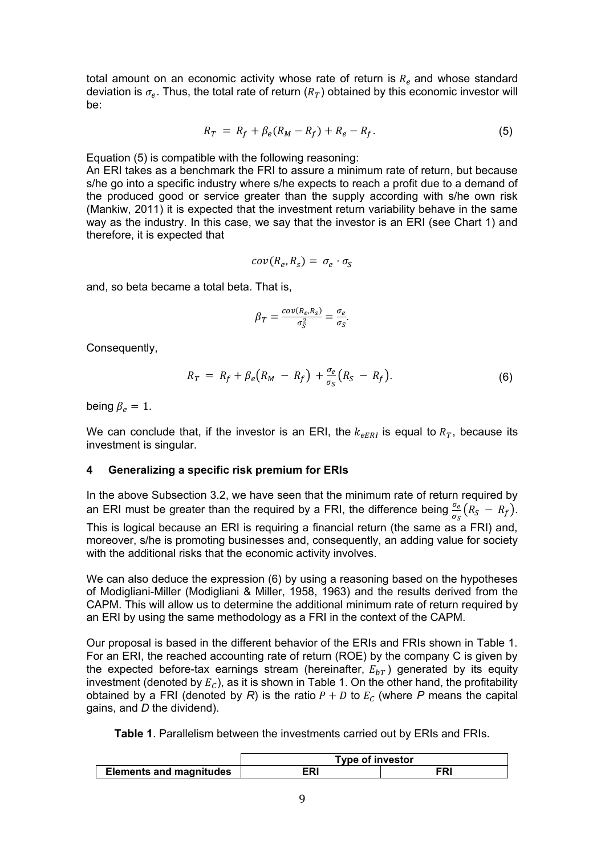total amount on an economic activity whose rate of return is  $R_e$  and whose standard deviation is  $\sigma_e.$  Thus, the total rate of return  $(R_T)$  obtained by this economic investor will be:

$$
R_T = R_f + \beta_e (R_M - R_f) + R_e - R_f.
$$
 (5)

Equation (5) is compatible with the following reasoning:

An ERI takes as a benchmark the FRI to assure a minimum rate of return, but because s/he go into a specific industry where s/he expects to reach a profit due to a demand of the produced good or service greater than the supply according with s/he own risk (Mankiw, 2011) it is expected that the investment return variability behave in the same way as the industry. In this case, we say that the investor is an ERI (see Chart 1) and therefore, it is expected that

$$
cov(R_e, R_s) = \sigma_e \cdot \sigma_s
$$

and, so beta became a total beta. That is,

$$
\beta_T = \frac{cov(R_e, R_S)}{\sigma_S^2} = \frac{\sigma_e}{\sigma_S}.
$$

Consequently,

$$
R_T = R_f + \beta_e \big( R_M - R_f \big) + \frac{\sigma_e}{\sigma_S} \big( R_S - R_f \big). \tag{6}
$$

being  $\beta_e = 1$ .

We can conclude that, if the investor is an ERI, the  $k_{eERI}$  is equal to  $R_T$ , because its investment is singular.

#### **4 Generalizing a specific risk premium for ERIs**

In the above Subsection 3.2, we have seen that the minimum rate of return required by an ERI must be greater than the required by a FRI, the difference being  $\frac{\sigma_e}{\sigma_S}(R_S - R_f)$ .

This is logical because an ERI is requiring a financial return (the same as a FRI) and, moreover, s/he is promoting businesses and, consequently, an adding value for society with the additional risks that the economic activity involves.

We can also deduce the expression (6) by using a reasoning based on the hypotheses of Modigliani-Miller (Modigliani & Miller, 1958, 1963) and the results derived from the CAPM. This will allow us to determine the additional minimum rate of return required by an ERI by using the same methodology as a FRI in the context of the CAPM.

Our proposal is based in the different behavior of the ERIs and FRIs shown in Table 1. For an ERI, the reached accounting rate of return (ROE) by the company C is given by the expected before-tax earnings stream (hereinafter,  $E_{bT}$ ) generated by its equity investment (denoted by  $E_c$ ), as it is shown in Table 1. On the other hand, the profitability obtained by a FRI (denoted by *R*) is the ratio  $P + D$  to  $E_C$  (where *P* means the capital gains, and *D* the dividend).

**Table 1**. Parallelism between the investments carried out by ERIs and FRIs.

|                                | <b>Type of investor</b> |     |  |  |  |
|--------------------------------|-------------------------|-----|--|--|--|
| <b>Elements and magnitudes</b> | ERI                     | FRI |  |  |  |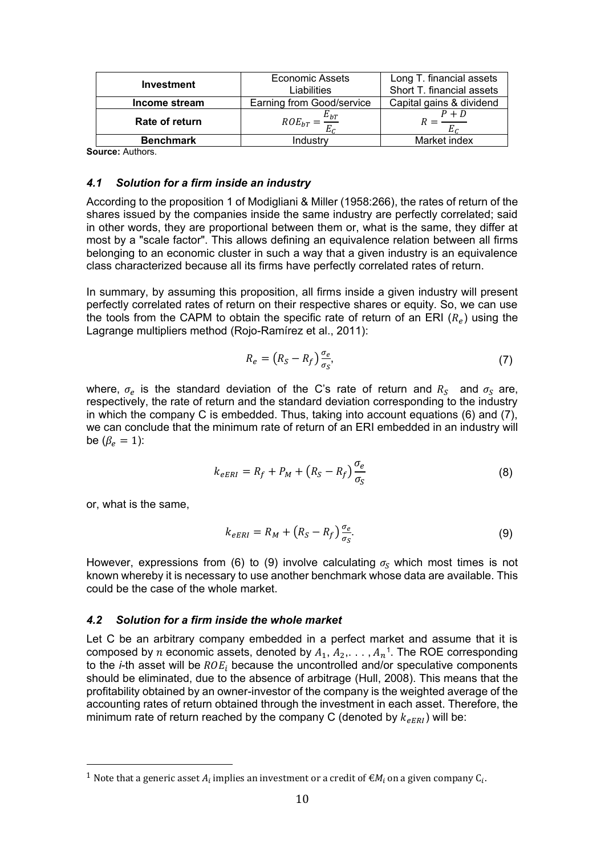| <b>Investment</b> | Economic Assets                  | Long T. financial assets  |  |
|-------------------|----------------------------------|---------------------------|--|
|                   | Liabilities                      | Short T. financial assets |  |
| Income stream     | <b>Earning from Good/service</b> | Capital gains & dividend  |  |
| Rate of return    | $E_{bT}$<br>$ROE_{bT}$           | $P + D$                   |  |
| <b>Benchmark</b>  | Industrv                         | Market index              |  |

**Source:** Authors.

#### *4.1 Solution for a firm inside an industry*

According to the proposition 1 of Modigliani & Miller (1958:266), the rates of return of the shares issued by the companies inside the same industry are perfectly correlated; said in other words, they are proportional between them or, what is the same, they differ at most by a "scale factor". This allows defining an equivalence relation between all firms belonging to an economic cluster in such a way that a given industry is an equivalence class characterized because all its firms have perfectly correlated rates of return.

In summary, by assuming this proposition, all firms inside a given industry will present perfectly correlated rates of return on their respective shares or equity. So, we can use the tools from the CAPM to obtain the specific rate of return of an ERI  $(R_e)$  using the Lagrange multipliers method (Rojo-Ramírez et al., 2011):

$$
R_e = \left(R_S - R_f\right) \frac{\sigma_e}{\sigma_S},\tag{7}
$$

where,  $\sigma_e$  is the standard deviation of the C's rate of return and  $R_S$  and  $\sigma_S$  are, respectively, the rate of return and the standard deviation corresponding to the industry in which the company C is embedded. Thus, taking into account equations (6) and (7), we can conclude that the minimum rate of return of an ERI embedded in an industry will be  $(\beta_e = 1)$ :

$$
k_{eERI} = R_f + P_M + (R_S - R_f) \frac{\sigma_e}{\sigma_S}
$$
 (8)

or, what is the same,

<u>.</u>

$$
k_{eERI} = R_M + (R_S - R_f) \frac{\sigma_e}{\sigma_S}.
$$
\n(9)

However, expressions from (6) to (9) involve calculating  $\sigma_s$  which most times is not known whereby it is necessary to use another benchmark whose data are available. This could be the case of the whole market.

#### *4.2 Solution for a firm inside the whole market*

Let C be an arbitrary company embedded in a perfect market and assume that it is composed by  $n$  economic assets, denoted by  $A_1, A_2, \ldots, A_n$ <sup>1</sup>. The ROE corresponding to the *i*-th asset will be  $ROE_i$  because the uncontrolled and/or speculative components should be eliminated, due to the absence of arbitrage (Hull, 2008). This means that the profitability obtained by an owner-investor of the company is the weighted average of the accounting rates of return obtained through the investment in each asset. Therefore, the minimum rate of return reached by the company C (denoted by  $k_{\text{R}ERI}$ ) will be:

<sup>&</sup>lt;sup>1</sup> Note that a generic asset  $A_i$  implies an investment or a credit of  $\epsilon M_i$  on a given company  $\mathsf{C}_i$ .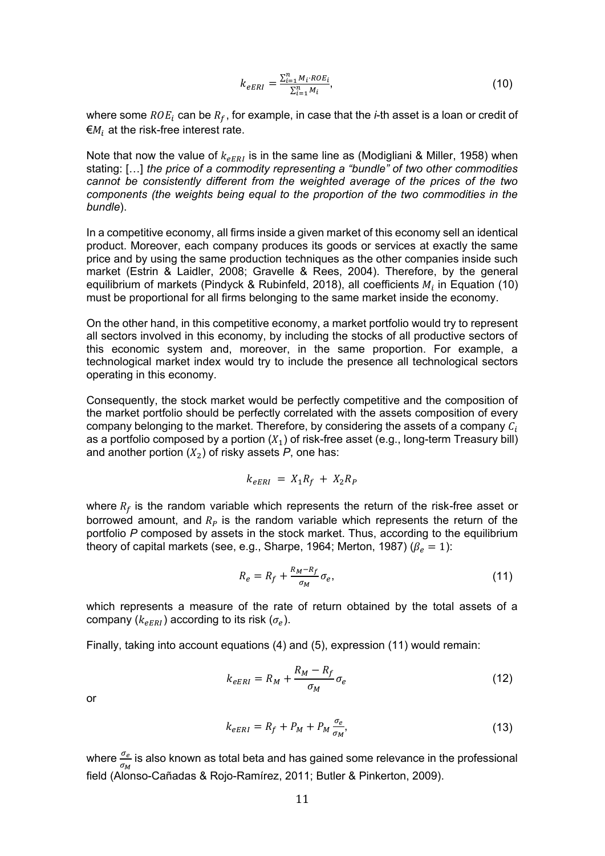$$
k_{eERI} = \frac{\sum_{i=1}^{n} M_i \cdot ROE_i}{\sum_{i=1}^{n} M_i},
$$
\n(10)

where some  $ROE_i$  can be  $R_f$ , for example, in case that the *i*-th asset is a loan or credit of  $\epsilon_{M_i}$  at the risk-free interest rate.

Note that now the value of  $k_{\text{eFBI}}$  is in the same line as (Modigliani & Miller, 1958) when stating: […] *the price of a commodity representing a "bundle" of two other commodities cannot be consistently different from the weighted average of the prices of the two components (the weights being equal to the proportion of the two commodities in the bundle*).

In a competitive economy, all firms inside a given market of this economy sell an identical product. Moreover, each company produces its goods or services at exactly the same price and by using the same production techniques as the other companies inside such market (Estrin & Laidler, 2008; Gravelle & Rees, 2004). Therefore, by the general equilibrium of markets (Pindyck & Rubinfeld, 2018), all coefficients  $M_i$  in Equation (10) must be proportional for all firms belonging to the same market inside the economy.

On the other hand, in this competitive economy, a market portfolio would try to represent all sectors involved in this economy, by including the stocks of all productive sectors of this economic system and, moreover, in the same proportion. For example, a technological market index would try to include the presence all technological sectors operating in this economy.

Consequently, the stock market would be perfectly competitive and the composition of the market portfolio should be perfectly correlated with the assets composition of every company belonging to the market. Therefore, by considering the assets of a company  $C_i$ as a portfolio composed by a portion  $(X_1)$  of risk-free asset (e.g., long-term Treasury bill) and another portion  $(X_2)$  of risky assets  $P$ , one has:

$$
k_{eERI} = X_1 R_f + X_2 R_P
$$

where  $R_f$  is the random variable which represents the return of the risk-free asset or borrowed amount, and  $R<sub>p</sub>$  is the random variable which represents the return of the portfolio *P* composed by assets in the stock market. Thus, according to the equilibrium theory of capital markets (see, e.g., Sharpe, 1964; Merton, 1987) ( $\beta_e = 1$ ):

$$
R_e = R_f + \frac{R_M - R_f}{\sigma_M} \sigma_e, \tag{11}
$$

which represents a measure of the rate of return obtained by the total assets of a company  $(k_{eERI})$  according to its risk  $(\sigma_e).$ 

Finally, taking into account equations (4) and (5), expression (11) would remain:

$$
k_{eERI} = R_M + \frac{R_M - R_f}{\sigma_M} \sigma_e \tag{12}
$$

or

$$
k_{eERI} = R_f + P_M + P_M \frac{\sigma_e}{\sigma_M},
$$
\n(13)

where  $\frac{\sigma_e}{\sigma_M}$  is also known as total beta and has gained some relevance in the professional field (Alonso-Cañadas & Rojo-Ramírez, 2011; Butler & Pinkerton, 2009).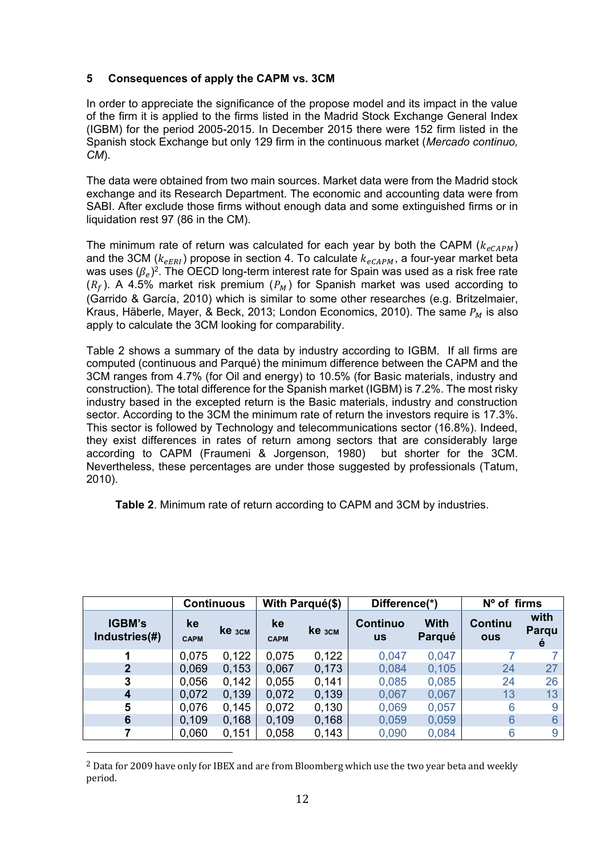# **5 Consequences of apply the CAPM vs. 3CM**

In order to appreciate the significance of the propose model and its impact in the value of the firm it is applied to the firms listed in the Madrid Stock Exchange General Index (IGBM) for the period 2005-2015. In December 2015 there were 152 firm listed in the Spanish stock Exchange but only 129 firm in the continuous market (*Mercado continuo, CM*).

The data were obtained from two main sources. Market data were from the Madrid stock exchange and its Research Department. The economic and accounting data were from SABI. After exclude those firms without enough data and some extinguished firms or in liquidation rest 97 (86 in the CM).

The minimum rate of return was calculated for each year by both the CAPM ( $k_{eCAPM}$ ) and the 3CM ( $k_{eERI}$ ) propose in section 4. To calculate  $k_{eCAPM}$ , a four-year market beta was uses ( $\beta_e$ )². The OECD long-term interest rate for Spain was used as a risk free rate  $(R_f)$ . A 4.5% market risk premium  $(P_M)$  for Spanish market was used according to (Garrido & García, 2010) which is similar to some other researches (e.g. Britzelmaier, Kraus, Häberle, Mayer, & Beck, 2013; London Economics, 2010). The same  $P_M$  is also apply to calculate the 3CM looking for comparability.

Table 2 shows a summary of the data by industry according to IGBM. If all firms are computed (continuous and Parqué) the minimum difference between the CAPM and the 3CM ranges from 4.7% (for Oil and energy) to 10.5% (for Basic materials, industry and construction). The total difference for the Spanish market (IGBM) is 7.2%. The most risky industry based in the excepted return is the Basic materials, industry and construction sector. According to the 3CM the minimum rate of return the investors require is 17.3%. This sector is followed by Technology and telecommunications sector (16.8%). Indeed, they exist differences in rates of return among sectors that are considerably large according to CAPM (Fraumeni & Jorgenson, 1980) but shorter for the 3CM. Nevertheless, these percentages are under those suggested by professionals (Tatum, 2010).

**Table 2**. Minimum rate of return according to CAPM and 3CM by industries.

|                                |                   | With Parqué(\$)<br><b>Continuous</b> |                   | Difference(*) |                              | $No$ of firms         |                              |                    |
|--------------------------------|-------------------|--------------------------------------|-------------------|---------------|------------------------------|-----------------------|------------------------------|--------------------|
| <b>IGBM's</b><br>Industries(#) | ke<br><b>CAPM</b> | <b>ke</b> <sub>3CM</sub>             | ke<br><b>CAPM</b> | <b>Ke</b> 3CM | <b>Continuo</b><br><b>us</b> | <b>With</b><br>Parqué | <b>Continu</b><br><b>ous</b> | with<br>Parqu<br>e |
| 1                              | 0,075             | 0,122                                | 0,075             | 0,122         | 0,047                        | 0,047                 |                              |                    |
| $\mathbf{2}$                   | 0,069             | 0,153                                | 0,067             | 0,173         | 0,084                        | 0,105                 | 24                           | 27                 |
| 3                              | 0,056             | 0,142                                | 0,055             | 0,141         | 0,085                        | 0,085                 | 24                           | 26                 |
| $\boldsymbol{4}$               | 0,072             | 0,139                                | 0,072             | 0,139         | 0,067                        | 0,067                 | 13                           | 13                 |
| 5                              | 0,076             | 0,145                                | 0,072             | 0,130         | 0,069                        | 0,057                 | 6                            | 9                  |
| 6                              | 0,109             | 0,168                                | 0,109             | 0,168         | 0,059                        | 0,059                 | 6                            | 6                  |
|                                | 0,060             | 0,151                                | 0,058             | 0,143         | 0,090                        | 0,084                 | 6                            | 9                  |

 $^2$  Data for 2009 have only for IBEX and are from Bloomberg which use the two vear beta and weekly period.

<u>.</u>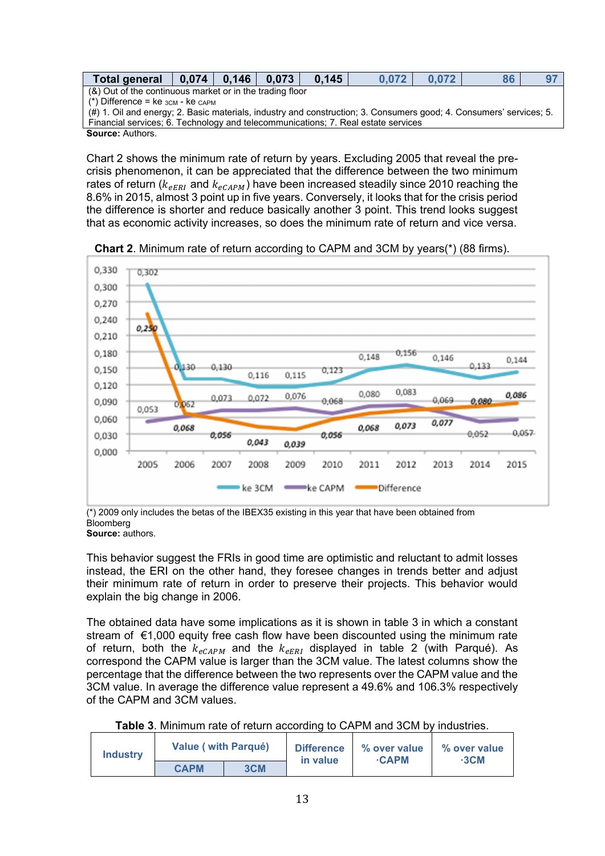| Total general   0,074   0,146   0,073                                                                               |  |  |  | 0.145 | 0.072 | 0.072 | 86 |  |
|---------------------------------------------------------------------------------------------------------------------|--|--|--|-------|-------|-------|----|--|
| (&) Out of the continuous market or in the trading floor                                                            |  |  |  |       |       |       |    |  |
| (*) Difference = $ke$ $_{3CM}$ - $ke$ $_{CAPM}$                                                                     |  |  |  |       |       |       |    |  |
| (#) 1. Oil and energy; 2. Basic materials, industry and construction; 3. Consumers good; 4. Consumers' services; 5. |  |  |  |       |       |       |    |  |
| Financial services; 6. Technology and telecommunications; 7. Real estate services                                   |  |  |  |       |       |       |    |  |
| <b>Source: Authors.</b>                                                                                             |  |  |  |       |       |       |    |  |

Chart 2 shows the minimum rate of return by years. Excluding 2005 that reveal the precrisis phenomenon, it can be appreciated that the difference between the two minimum rates of return ( $k_{\text{eff}}$  and  $k_{\text{eff}}$ ) have been increased steadily since 2010 reaching the 8.6% in 2015, almost 3 point up in five years. Conversely, it looks that for the crisis period the difference is shorter and reduce basically another 3 point. This trend looks suggest that as economic activity increases, so does the minimum rate of return and vice versa.



**Chart 2**. Minimum rate of return according to CAPM and 3CM by years(\*) (88 firms).

(\*) 2009 only includes the betas of the IBEX35 existing in this year that have been obtained from Bloomberg

**Source:** authors.

This behavior suggest the FRIs in good time are optimistic and reluctant to admit losses instead, the ERI on the other hand, they foresee changes in trends better and adjust their minimum rate of return in order to preserve their projects. This behavior would explain the big change in 2006.

The obtained data have some implications as it is shown in table 3 in which a constant stream of €1,000 equity free cash flow have been discounted using the minimum rate of return, both the  $k_{eCAPM}$  and the  $k_{eERI}$  displayed in table 2 (with Parqué). As correspond the CAPM value is larger than the 3CM value. The latest columns show the percentage that the difference between the two represents over the CAPM value and the 3CM value. In average the difference value represent a 49.6% and 106.3% respectively of the CAPM and 3CM values.

| Table 3. Minimum rate of return according to CAPM and 3CM by industries. |  |
|--------------------------------------------------------------------------|--|
|--------------------------------------------------------------------------|--|

| <b>Industry</b> | <b>Value (with Parqué)</b> |     | <b>Difference</b><br>in value | % over value<br>$\cdot$ CAPM | % over value<br>∙3CM |
|-----------------|----------------------------|-----|-------------------------------|------------------------------|----------------------|
|                 | <b>CAPM</b>                | 3CM |                               |                              |                      |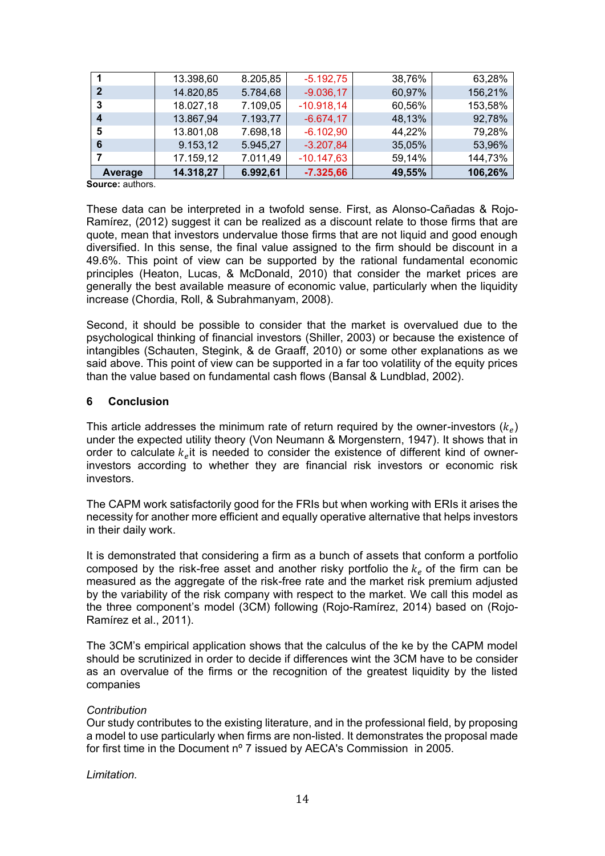| Average | 14.318,27 | 6.992,61 | $-7.325,66$  | 49,55% | 106,26% |
|---------|-----------|----------|--------------|--------|---------|
|         | 17.159,12 | 7.011,49 | $-10.147,63$ | 59,14% | 144,73% |
| 6       | 9.153,12  | 5.945,27 | $-3.207,84$  | 35,05% | 53,96%  |
| 5       | 13.801,08 | 7.698,18 | $-6.102,90$  | 44,22% | 79,28%  |
| 4       | 13.867,94 | 7.193,77 | $-6.674, 17$ | 48,13% | 92,78%  |
| -3      | 18.027,18 | 7.109,05 | $-10.918,14$ | 60,56% | 153,58% |
| -2      | 14.820,85 | 5.784,68 | $-9.036, 17$ | 60,97% | 156,21% |
|         | 13.398,60 | 8.205,85 | $-5.192,75$  | 38,76% | 63,28%  |

**Source:** authors.

These data can be interpreted in a twofold sense. First, as Alonso-Cañadas & Rojo-Ramírez, (2012) suggest it can be realized as a discount relate to those firms that are quote, mean that investors undervalue those firms that are not liquid and good enough diversified. In this sense, the final value assigned to the firm should be discount in a 49.6%. This point of view can be supported by the rational fundamental economic principles (Heaton, Lucas, & McDonald, 2010) that consider the market prices are generally the best available measure of economic value, particularly when the liquidity increase (Chordia, Roll, & Subrahmanyam, 2008).

Second, it should be possible to consider that the market is overvalued due to the psychological thinking of financial investors (Shiller, 2003) or because the existence of intangibles (Schauten, Stegink, & de Graaff, 2010) or some other explanations as we said above. This point of view can be supported in a far too volatility of the equity prices than the value based on fundamental cash flows (Bansal & Lundblad, 2002).

## **6 Conclusion**

This article addresses the minimum rate of return required by the owner-investors  $\left(k_{e}\right)$ under the expected utility theory (Von Neumann & Morgenstern, 1947). It shows that in order to calculate  $k_e$ it is needed to consider the existence of different kind of ownerinvestors according to whether they are financial risk investors or economic risk investors.

The CAPM work satisfactorily good for the FRIs but when working with ERIs it arises the necessity for another more efficient and equally operative alternative that helps investors in their daily work.

It is demonstrated that considering a firm as a bunch of assets that conform a portfolio composed by the risk-free asset and another risky portfolio the  $k_e$  of the firm can be measured as the aggregate of the risk-free rate and the market risk premium adjusted by the variability of the risk company with respect to the market. We call this model as the three component's model (3CM) following (Rojo-Ramírez, 2014) based on (Rojo-Ramírez et al., 2011).

The 3CM's empirical application shows that the calculus of the ke by the CAPM model should be scrutinized in order to decide if differences wint the 3CM have to be consider as an overvalue of the firms or the recognition of the greatest liquidity by the listed companies

#### *Contribution*

Our study contributes to the existing literature, and in the professional field, by proposing a model to use particularly when firms are non-listed. It demonstrates the proposal made for first time in the Document nº 7 issued by AECA's Commission in 2005.

*Limitation.*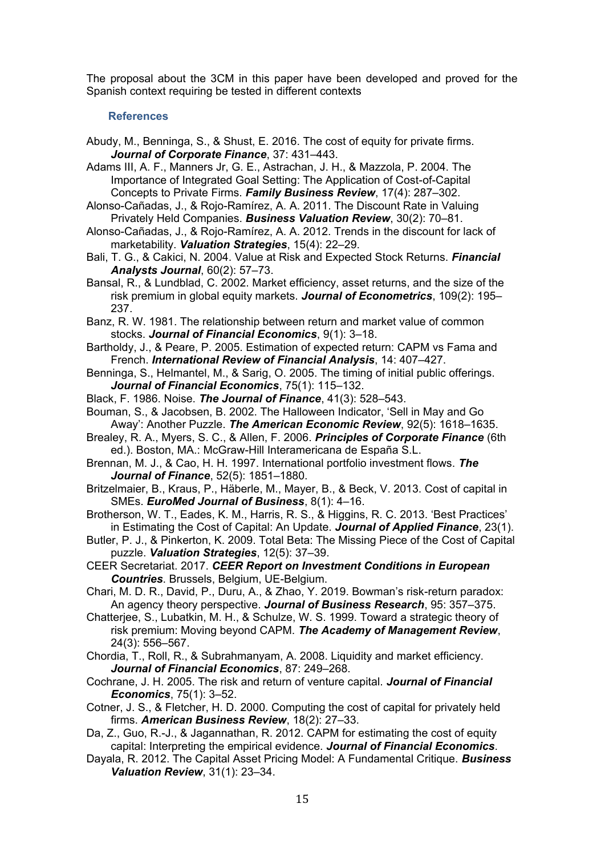The proposal about the 3CM in this paper have been developed and proved for the Spanish context requiring be tested in different contexts

#### **References**

- Abudy, M., Benninga, S., & Shust, E. 2016. The cost of equity for private firms. *Journal of Corporate Finance*, 37: 431–443.
- Adams III, A. F., Manners Jr, G. E., Astrachan, J. H., & Mazzola, P. 2004. The Importance of Integrated Goal Setting: The Application of Cost-of-Capital Concepts to Private Firms. *Family Business Review*, 17(4): 287–302.
- Alonso-Cañadas, J., & Rojo-Ramírez, A. A. 2011. The Discount Rate in Valuing Privately Held Companies. *Business Valuation Review*, 30(2): 70–81.
- Alonso-Cañadas, J., & Rojo-Ramírez, A. A. 2012. Trends in the discount for lack of marketability. *Valuation Strategies*, 15(4): 22–29.
- Bali, T. G., & Cakici, N. 2004. Value at Risk and Expected Stock Returns. *Financial Analysts Journal*, 60(2): 57–73.
- Bansal, R., & Lundblad, C. 2002. Market efficiency, asset returns, and the size of the risk premium in global equity markets. *Journal of Econometrics*, 109(2): 195– 237.
- Banz, R. W. 1981. The relationship between return and market value of common stocks. *Journal of Financial Economics*, 9(1): 3–18.
- Bartholdy, J., & Peare, P. 2005. Estimation of expected return: CAPM vs Fama and French. *International Review of Financial Analysis*, 14: 407–427.
- Benninga, S., Helmantel, M., & Sarig, O. 2005. The timing of initial public offerings. *Journal of Financial Economics*, 75(1): 115–132.
- Black, F. 1986. Noise. *The Journal of Finance*, 41(3): 528–543.
- Bouman, S., & Jacobsen, B. 2002. The Halloween Indicator, 'Sell in May and Go Away': Another Puzzle. *The American Economic Review*, 92(5): 1618–1635.
- Brealey, R. A., Myers, S. C., & Allen, F. 2006. *Principles of Corporate Finance* (6th ed.). Boston, MA.: McGraw-Hill Interamericana de España S.L.
- Brennan, M. J., & Cao, H. H. 1997. International portfolio investment flows. *The Journal of Finance*, 52(5): 1851–1880.
- Britzelmaier, B., Kraus, P., Häberle, M., Mayer, B., & Beck, V. 2013. Cost of capital in SMEs. *EuroMed Journal of Business*, 8(1): 4–16.
- Brotherson, W. T., Eades, K. M., Harris, R. S., & Higgins, R. C. 2013. 'Best Practices' in Estimating the Cost of Capital: An Update. *Journal of Applied Finance*, 23(1).
- Butler, P. J., & Pinkerton, K. 2009. Total Beta: The Missing Piece of the Cost of Capital puzzle. *Valuation Strategies*, 12(5): 37–39.
- CEER Secretariat. 2017. *CEER Report on Investment Conditions in European Countries*. Brussels, Belgium, UE-Belgium.
- Chari, M. D. R., David, P., Duru, A., & Zhao, Y. 2019. Bowman's risk-return paradox: An agency theory perspective. *Journal of Business Research*, 95: 357–375.
- Chatterjee, S., Lubatkin, M. H., & Schulze, W. S. 1999. Toward a strategic theory of risk premium: Moving beyond CAPM. *The Academy of Management Review*, 24(3): 556–567.
- Chordia, T., Roll, R., & Subrahmanyam, A. 2008. Liquidity and market efficiency. *Journal of Financial Economics*, 87: 249–268.
- Cochrane, J. H. 2005. The risk and return of venture capital. *Journal of Financial Economics*, 75(1): 3–52.
- Cotner, J. S., & Fletcher, H. D. 2000. Computing the cost of capital for privately held firms. *American Business Review*, 18(2): 27–33.
- Da, Z., Guo, R.-J., & Jagannathan, R. 2012. CAPM for estimating the cost of equity capital: Interpreting the empirical evidence. *Journal of Financial Economics*.
- Dayala, R. 2012. The Capital Asset Pricing Model: A Fundamental Critique. *Business Valuation Review*, 31(1): 23–34.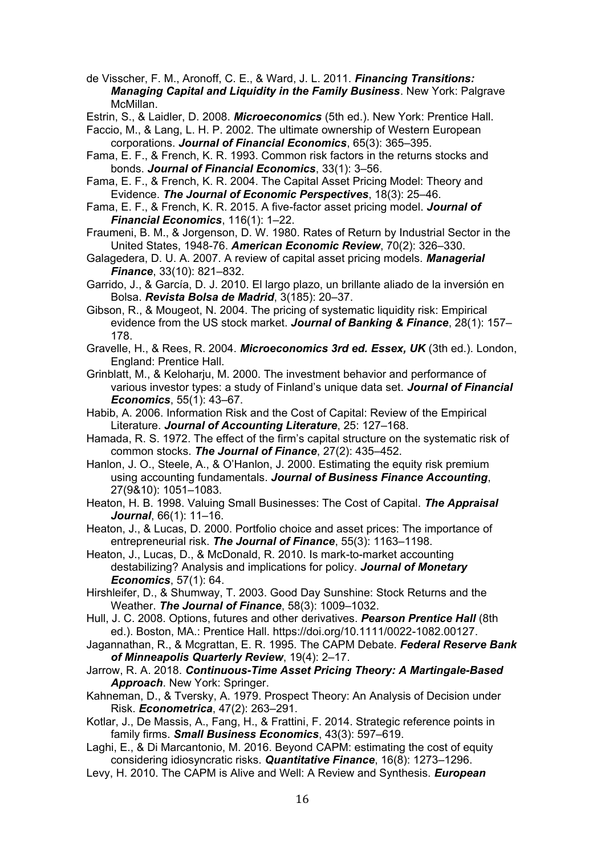de Visscher, F. M., Aronoff, C. E., & Ward, J. L. 2011. *Financing Transitions: Managing Capital and Liquidity in the Family Business*. New York: Palgrave McMillan.

Estrin, S., & Laidler, D. 2008. *Microeconomics* (5th ed.). New York: Prentice Hall.

Faccio, M., & Lang, L. H. P. 2002. The ultimate ownership of Western European corporations. *Journal of Financial Economics*, 65(3): 365–395.

- Fama, E. F., & French, K. R. 1993. Common risk factors in the returns stocks and bonds. *Journal of Financial Economics*, 33(1): 3–56.
- Fama, E. F., & French, K. R. 2004. The Capital Asset Pricing Model: Theory and Evidence. *The Journal of Economic Perspectives*, 18(3): 25–46.

Fama, E. F., & French, K. R. 2015. A five-factor asset pricing model. *Journal of Financial Economics*, 116(1): 1–22.

Fraumeni, B. M., & Jorgenson, D. W. 1980. Rates of Return by Industrial Sector in the United States, 1948-76. *American Economic Review*, 70(2): 326–330.

Galagedera, D. U. A. 2007. A review of capital asset pricing models. *Managerial Finance*, 33(10): 821–832.

Garrido, J., & García, D. J. 2010. El largo plazo, un brillante aliado de la inversión en Bolsa. *Revista Bolsa de Madrid*, 3(185): 20–37.

Gibson, R., & Mougeot, N. 2004. The pricing of systematic liquidity risk: Empirical evidence from the US stock market. *Journal of Banking & Finance*, 28(1): 157– 178.

Gravelle, H., & Rees, R. 2004. *Microeconomics 3rd ed. Essex, UK* (3th ed.). London, England: Prentice Hall.

Grinblatt, M., & Keloharju, M. 2000. The investment behavior and performance of various investor types: a study of Finland's unique data set. *Journal of Financial Economics*, 55(1): 43–67.

Habib, A. 2006. Information Risk and the Cost of Capital: Review of the Empirical Literature. *Journal of Accounting Literature*, 25: 127–168.

Hamada, R. S. 1972. The effect of the firm's capital structure on the systematic risk of common stocks. *The Journal of Finance*, 27(2): 435–452.

Hanlon, J. O., Steele, A., & O'Hanlon, J. 2000. Estimating the equity risk premium using accounting fundamentals. *Journal of Business Finance Accounting*, 27(9&10): 1051–1083.

Heaton, H. B. 1998. Valuing Small Businesses: The Cost of Capital. *The Appraisal Journal*, 66(1): 11–16.

Heaton, J., & Lucas, D. 2000. Portfolio choice and asset prices: The importance of entrepreneurial risk. *The Journal of Finance*, 55(3): 1163–1198.

Heaton, J., Lucas, D., & McDonald, R. 2010. Is mark-to-market accounting destabilizing? Analysis and implications for policy. *Journal of Monetary Economics*, 57(1): 64.

Hirshleifer, D., & Shumway, T. 2003. Good Day Sunshine: Stock Returns and the Weather. *The Journal of Finance*, 58(3): 1009–1032.

Hull, J. C. 2008. Options, futures and other derivatives. *Pearson Prentice Hall* (8th ed.). Boston, MA.: Prentice Hall. https://doi.org/10.1111/0022-1082.00127.

Jagannathan, R., & Mcgrattan, E. R. 1995. The CAPM Debate. *Federal Reserve Bank of Minneapolis Quarterly Review*, 19(4): 2–17.

Jarrow, R. A. 2018. *Continuous-Time Asset Pricing Theory: A Martingale-Based Approach*. New York: Springer.

Kahneman, D., & Tversky, A. 1979. Prospect Theory: An Analysis of Decision under Risk. *Econometrica*, 47(2): 263–291.

Kotlar, J., De Massis, A., Fang, H., & Frattini, F. 2014. Strategic reference points in family firms. *Small Business Economics*, 43(3): 597–619.

Laghi, E., & Di Marcantonio, M. 2016. Beyond CAPM: estimating the cost of equity considering idiosyncratic risks. *Quantitative Finance*, 16(8): 1273–1296.

Levy, H. 2010. The CAPM is Alive and Well: A Review and Synthesis. *European*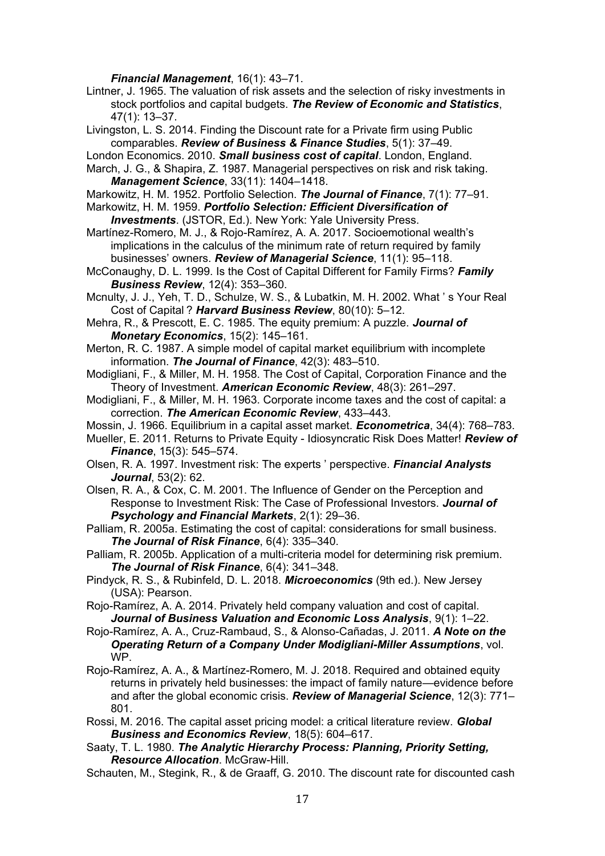*Financial Management*, 16(1): 43–71.

Lintner, J. 1965. The valuation of risk assets and the selection of risky investments in stock portfolios and capital budgets. *The Review of Economic and Statistics*, 47(1): 13–37.

Livingston, L. S. 2014. Finding the Discount rate for a Private firm using Public comparables. *Review of Business & Finance Studies*, 5(1): 37–49.

London Economics. 2010. *Small business cost of capital*. London, England.

March, J. G., & Shapira, Z. 1987. Managerial perspectives on risk and risk taking. *Management Science*, 33(11): 1404–1418.

Markowitz, H. M. 1952. Portfolio Selection. *The Journal of Finance*, 7(1): 77–91.

Markowitz, H. M. 1959. *Portfolio Selection: Efficient Diversification of Investments*. (JSTOR, Ed.). New York: Yale University Press.

Martínez-Romero, M. J., & Rojo-Ramírez, A. A. 2017. Socioemotional wealth's implications in the calculus of the minimum rate of return required by family businesses' owners. *Review of Managerial Science*, 11(1): 95–118.

McConaughy, D. L. 1999. Is the Cost of Capital Different for Family Firms? *Family Business Review*, 12(4): 353–360.

Mcnulty, J. J., Yeh, T. D., Schulze, W. S., & Lubatkin, M. H. 2002. What ' s Your Real Cost of Capital ? *Harvard Business Review*, 80(10): 5–12.

Mehra, R., & Prescott, E. C. 1985. The equity premium: A puzzle. *Journal of Monetary Economics*, 15(2): 145–161.

Merton, R. C. 1987. A simple model of capital market equilibrium with incomplete information. *The Journal of Finance*, 42(3): 483–510.

Modigliani, F., & Miller, M. H. 1958. The Cost of Capital, Corporation Finance and the Theory of Investment. *American Economic Review*, 48(3): 261–297.

- Modigliani, F., & Miller, M. H. 1963. Corporate income taxes and the cost of capital: a correction. *The American Economic Review*, 433–443.
- Mossin, J. 1966. Equilibrium in a capital asset market. *Econometrica*, 34(4): 768–783.
- Mueller, E. 2011. Returns to Private Equity Idiosyncratic Risk Does Matter! *Review of Finance*, 15(3): 545–574.
- Olsen, R. A. 1997. Investment risk: The experts ' perspective. *Financial Analysts Journal*, 53(2): 62.

Olsen, R. A., & Cox, C. M. 2001. The Influence of Gender on the Perception and Response to Investment Risk: The Case of Professional Investors. *Journal of Psychology and Financial Markets*, 2(1): 29–36.

Palliam, R. 2005a. Estimating the cost of capital: considerations for small business. *The Journal of Risk Finance*, 6(4): 335–340.

Palliam, R. 2005b. Application of a multi-criteria model for determining risk premium. *The Journal of Risk Finance*, 6(4): 341–348.

Pindyck, R. S., & Rubinfeld, D. L. 2018. *Microeconomics* (9th ed.). New Jersey (USA): Pearson.

Rojo-Ramírez, A. A. 2014. Privately held company valuation and cost of capital. *Journal of Business Valuation and Economic Loss Analysis*, 9(1): 1–22.

Rojo-Ramírez, A. A., Cruz-Rambaud, S., & Alonso-Cañadas, J. 2011. *A Note on the Operating Return of a Company Under Modigliani-Miller Assumptions*, vol. WP.

Rojo-Ramírez, A. A., & Martínez-Romero, M. J. 2018. Required and obtained equity returns in privately held businesses: the impact of family nature—evidence before and after the global economic crisis. *Review of Managerial Science*, 12(3): 771– 801.

Rossi, M. 2016. The capital asset pricing model: a critical literature review. *Global Business and Economics Review*, 18(5): 604–617.

Saaty, T. L. 1980. *The Analytic Hierarchy Process: Planning, Priority Setting, Resource Allocation*. McGraw-Hill.

Schauten, M., Stegink, R., & de Graaff, G. 2010. The discount rate for discounted cash